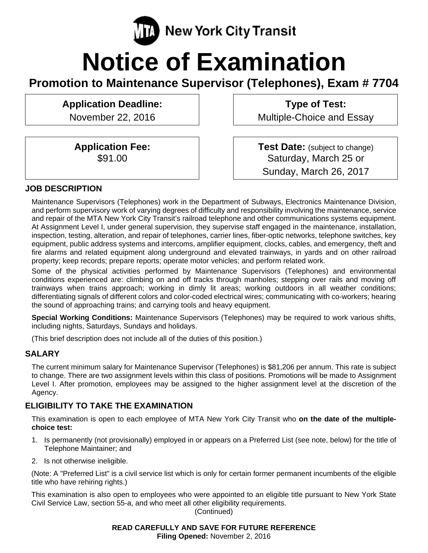

# **Notice of Examination**

**Promotion to Maintenance Supervisor (Telephones), Exam # 7704** 

**Application Deadline:** 

November 22, 2016

**Application Fee:**  \$91.00

**Type of Test:**  Multiple-Choice and Essay

**Test Date:** (subject to change) Saturday, March 25 or Sunday, March 26, 2017

#### **JOB DESCRIPTION**

Maintenance Supervisors (Telephones) work in the Department of Subways, Electronics Maintenance Division, and perform supervisory work of varying degrees of difficulty and responsibility involving the maintenance, service and repair of the MTA New York City Transit's railroad telephone and other communications systems equipment. At Assignment Level I, under general supervision, they supervise staff engaged in the maintenance, installation, inspection, testing, alteration, and repair of telephones, carrier lines, fiber-optic networks, telephone switches, key equipment, public address systems and intercoms, amplifier equipment, clocks, cables, and emergency, theft and fire alarms and related equipment along underground and elevated trainways, in yards and on other railroad property; keep records; prepare reports; operate motor vehicles; and perform related work.

Some of the physical activities performed by Maintenance Supervisors (Telephones) and environmental conditions experienced are: climbing on and off tracks through manholes; stepping over rails and moving off trainways when trains approach; working in dimly lit areas; working outdoors in all weather conditions; differentiating signals of different colors and color-coded electrical wires; communicating with co-workers; hearing the sound of approaching trains; and carrying tools and heavy equipment.

**Special Working Conditions:** Maintenance Supervisors (Telephones) may be required to work various shifts, including nights, Saturdays, Sundays and holidays.

(This brief description does not include all of the duties of this position.)

#### **SALARY**

The current minimum salary for Maintenance Supervisor (Telephones) is \$81,206 per annum. This rate is subject to change. There are two assignment levels within this class of positions. Promotions will be made to Assignment Level I. After promotion, employees may be assigned to the higher assignment level at the discretion of the Agency.

## **ELIGIBILITY TO TAKE THE EXAMINATION**

This examination is open to each employee of MTA New York City Transit who **on the date of the multiplechoice test:** 

- 1. Is permanently (not provisionally) employed in or appears on a Preferred List (see note, below) for the title of Telephone Maintainer; and
- 2. Is not otherwise ineligible.

(Note: A "Preferred List" is a civil service list which is only for certain former permanent incumbents of the eligible title who have rehiring rights.)

This examination is also open to employees who were appointed to an eligible title pursuant to New York State Civil Service Law, section 55-a, and who meet all other eligibility requirements. (Continued)

#### **READ CAREFULLY AND SAVE FOR FUTURE REFERENCE Filing Opened:** November 2, 2016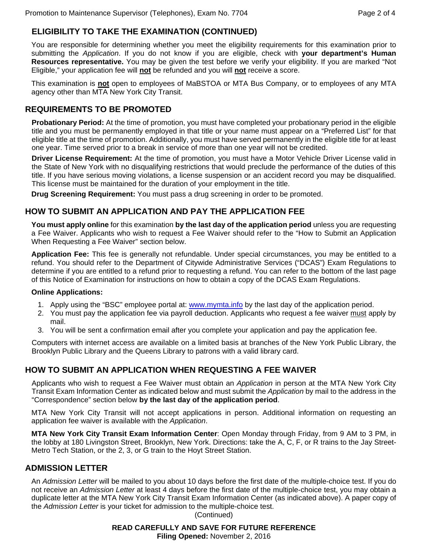# **ELIGIBILITY TO TAKE THE EXAMINATION (CONTINUED)**

You are responsible for determining whether you meet the eligibility requirements for this examination prior to submitting the *Application*. If you do not know if you are eligible, check with **your department's Human**  Resources representative. You may be given the test before we verify your eligibility. If you are marked "Not Eligible," your application fee will **not** be refunded and you will **not** receive a score.

This examination is **not** open to employees of MaBSTOA or MTA Bus Company, or to employees of any MTA agency other than MTA New York City Transit.

## **REQUIREMENTS TO BE PROMOTED**

**Probationary Period:** At the time of promotion, you must have completed your probationary period in the eligible title and you must be permanently employed in that title or your name must appear on a "Preferred List" for that eligible title at the time of promotion. Additionally, you must have served permanently in the eligible title for at least one year. Time served prior to a break in service of more than one year will not be credited.

**Driver License Requirement:** At the time of promotion, you must have a Motor Vehicle Driver License valid in the State of New York with no disqualifying restrictions that would preclude the performance of the duties of this title. If you have serious moving violations, a license suspension or an accident record you may be disqualified. This license must be maintained for the duration of your employment in the title.

**Drug Screening Requirement:** You must pass a drug screening in order to be promoted.

# **HOW TO SUBMIT AN APPLICATION AND PAY THE APPLICATION FEE**

**You must apply online** for this examination **by the last day of the application period** unless you are requesting a Fee Waiver. Applicants who wish to request a Fee Waiver should refer to the "How to Submit an Application When Requesting a Fee Waiver" section below.

**Application Fee:** This fee is generally not refundable. Under special circumstances, you may be entitled to a refund. You should refer to the Department of Citywide Administrative Services ("DCAS") Exam Regulations to determine if you are entitled to a refund prior to requesting a refund. You can refer to the bottom of the last page of this Notice of Examination for instructions on how to obtain a copy of the DCAS Exam Regulations.

#### **Online Applications:**

- 1. Apply using the "BSC" employee portal at: www.mymta.info by the last day of the application period.
- 2. You must pay the application fee via payroll deduction. Applicants who request a fee waiver must apply by mail.
- 3. You will be sent a confirmation email after you complete your application and pay the application fee.

Computers with internet access are available on a limited basis at branches of the New York Public Library, the Brooklyn Public Library and the Queens Library to patrons with a valid library card.

# **HOW TO SUBMIT AN APPLICATION WHEN REQUESTING A FEE WAIVER**

Applicants who wish to request a Fee Waiver must obtain an *Application* in person at the MTA New York City Transit Exam Information Center as indicated below and must submit the *Application* by mail to the address in the "Correspondence" section below **by the last day of the application period**.

MTA New York City Transit will not accept applications in person. Additional information on requesting an application fee waiver is available with the *Application*.

**MTA New York City Transit Exam Information Center**: Open Monday through Friday, from 9 AM to 3 PM, in the lobby at 180 Livingston Street, Brooklyn, New York. Directions: take the A, C, F, or R trains to the Jay Street-Metro Tech Station, or the 2, 3, or G train to the Hoyt Street Station.

## **ADMISSION LETTER**

An *Admission Letter* will be mailed to you about 10 days before the first date of the multiple-choice test. If you do not receive an *Admission Letter* at least 4 days before the first date of the multiple-choice test, you may obtain a duplicate letter at the MTA New York City Transit Exam Information Center (as indicated above). A paper copy of the *Admission Letter* is your ticket for admission to the multiple-choice test.

(Continued)

#### **READ CAREFULLY AND SAVE FOR FUTURE REFERENCE Filing Opened:** November 2, 2016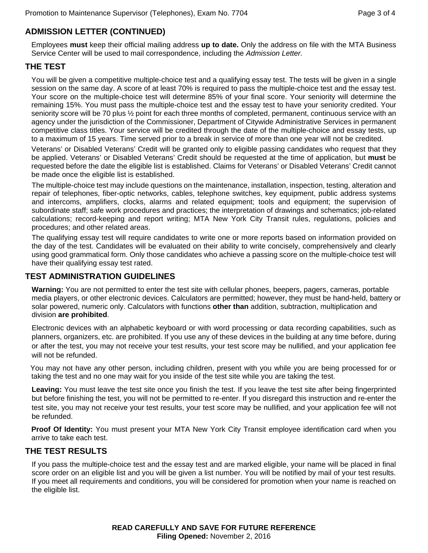# **ADMISSION LETTER (CONTINUED)**

Employees **must** keep their official mailing address **up to date.** Only the address on file with the MTA Business Service Center will be used to mail correspondence, including the *Admission Letter.*

#### **THE TEST**

You will be given a competitive multiple-choice test and a qualifying essay test. The tests will be given in a single session on the same day. A score of at least 70% is required to pass the multiple-choice test and the essay test. Your score on the multiple-choice test will determine 85% of your final score. Your seniority will determine the remaining 15%. You must pass the multiple-choice test and the essay test to have your seniority credited. Your seniority score will be 70 plus 1/<sub>2</sub> point for each three months of completed, permanent, continuous service with an agency under the jurisdiction of the Commissioner, Department of Citywide Administrative Services in permanent competitive class titles. Your service will be credited through the date of the multiple-choice and essay tests, up to a maximum of 15 years. Time served prior to a break in service of more than one year will not be credited.

Veterans' or Disabled Veterans' Credit will be granted only to eligible passing candidates who request that they be applied. Veterans' or Disabled Veterans' Credit should be requested at the time of application, but **must** be requested before the date the eligible list is established. Claims for Veterans' or Disabled Veterans' Credit cannot be made once the eligible list is established.

The multiple-choice test may include questions on the maintenance, installation, inspection, testing, alteration and repair of telephones, fiber-optic networks, cables, telephone switches, key equipment, public address systems and intercoms, amplifiers, clocks, alarms and related equipment; tools and equipment; the supervision of subordinate staff; safe work procedures and practices; the interpretation of drawings and schematics; job-related calculations; record-keeping and report writing; MTA New York City Transit rules, regulations, policies and procedures; and other related areas.

The qualifying essay test will require candidates to write one or more reports based on information provided on the day of the test. Candidates will be evaluated on their ability to write concisely, comprehensively and clearly using good grammatical form. Only those candidates who achieve a passing score on the multiple-choice test will have their qualifying essay test rated.

## **TEST ADMINISTRATION GUIDELINES**

**Warning:** You are not permitted to enter the test site with cellular phones, beepers, pagers, cameras, portable media players, or other electronic devices. Calculators are permitted; however, they must be hand-held, battery or solar powered, numeric only. Calculators with functions **other than** addition, subtraction, multiplication and division **are prohibited**.

Electronic devices with an alphabetic keyboard or with word processing or data recording capabilities, such as planners, organizers, etc. are prohibited. If you use any of these devices in the building at any time before, during or after the test, you may not receive your test results, your test score may be nullified, and your application fee will not be refunded.

 You may not have any other person, including children, present with you while you are being processed for or taking the test and no one may wait for you inside of the test site while you are taking the test.

**Leaving:** You must leave the test site once you finish the test. If you leave the test site after being fingerprinted but before finishing the test, you will not be permitted to re-enter. If you disregard this instruction and re-enter the test site, you may not receive your test results, your test score may be nullified, and your application fee will not be refunded.

**Proof Of Identity:** You must present your MTA New York City Transit employee identification card when you arrive to take each test.

#### **THE TEST RESULTS**

If you pass the multiple-choice test and the essay test and are marked eligible, your name will be placed in final score order on an eligible list and you will be given a list number. You will be notified by mail of your test results. If you meet all requirements and conditions, you will be considered for promotion when your name is reached on the eligible list.